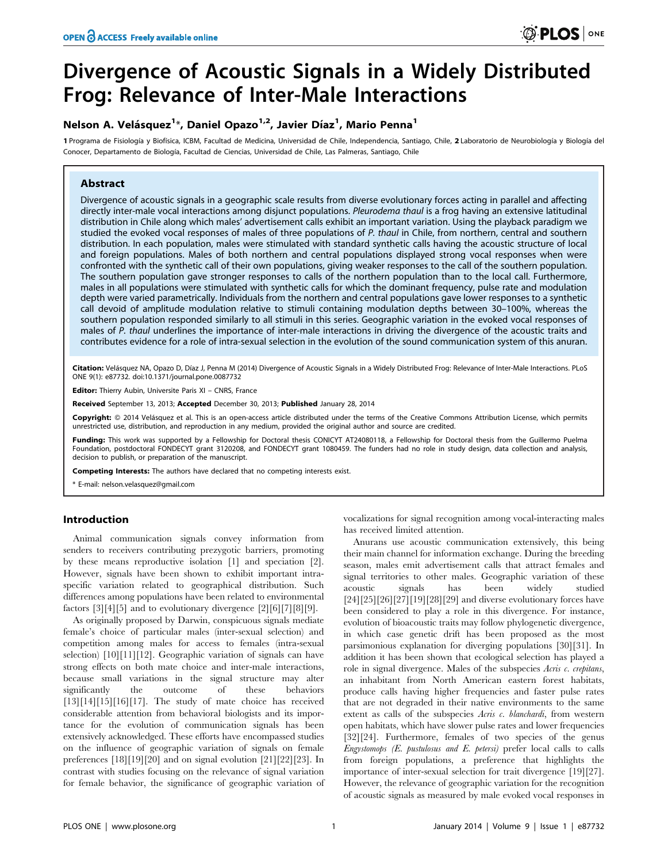# Divergence of Acoustic Signals in a Widely Distributed Frog: Relevance of Inter-Male Interactions

## Nelson A. Velásquez<sup>1</sup>\*, Daniel Opazo<sup>1,2</sup>, Javier Díaz<sup>1</sup>, Mario Penna<sup>1</sup>

1 Programa de Fisiología y Biofísica, ICBM, Facultad de Medicina, Universidad de Chile, Independencia, Santiago, Chile, 2 Laboratorio de Neurobiología y Biología del Conocer, Departamento de Biología, Facultad de Ciencias, Universidad de Chile, Las Palmeras, Santiago, Chile

## Abstract

Divergence of acoustic signals in a geographic scale results from diverse evolutionary forces acting in parallel and affecting directly inter-male vocal interactions among disjunct populations. Pleurodema thaul is a frog having an extensive latitudinal distribution in Chile along which males' advertisement calls exhibit an important variation. Using the playback paradigm we studied the evoked vocal responses of males of three populations of P. thaul in Chile, from northern, central and southern distribution. In each population, males were stimulated with standard synthetic calls having the acoustic structure of local and foreign populations. Males of both northern and central populations displayed strong vocal responses when were confronted with the synthetic call of their own populations, giving weaker responses to the call of the southern population. The southern population gave stronger responses to calls of the northern population than to the local call. Furthermore, males in all populations were stimulated with synthetic calls for which the dominant frequency, pulse rate and modulation depth were varied parametrically. Individuals from the northern and central populations gave lower responses to a synthetic call devoid of amplitude modulation relative to stimuli containing modulation depths between 30–100%, whereas the southern population responded similarly to all stimuli in this series. Geographic variation in the evoked vocal responses of males of P. thaul underlines the importance of inter-male interactions in driving the divergence of the acoustic traits and contributes evidence for a role of intra-sexual selection in the evolution of the sound communication system of this anuran.

Citation: Velásquez NA, Opazo D, Díaz J, Penna M (2014) Divergence of Acoustic Signals in a Widely Distributed Frog: Relevance of Inter-Male Interactions. PLoS ONE 9(1): e87732. doi:10.1371/journal.pone.0087732

Editor: Thierry Aubin, Universite Paris XI – CNRS, France

Received September 13, 2013; Accepted December 30, 2013; Published January 28, 2014

Copyright: © 2014 Velásquez et al. This is an open-access article distributed under the terms of the Creative Commons Attribution License, which permits unrestricted use, distribution, and reproduction in any medium, provided the original author and source are credited.

Funding: This work was supported by a Fellowship for Doctoral thesis CONICYT AT24080118, a Fellowship for Doctoral thesis from the Guillermo Puelma Foundation, postdoctoral FONDECYT grant 3120208, and FONDECYT grant 1080459. The funders had no role in study design, data collection and analysis, decision to publish, or preparation of the manuscript.

Competing Interests: The authors have declared that no competing interests exist.

\* E-mail: nelson.velasquez@gmail.com

## Introduction

Animal communication signals convey information from senders to receivers contributing prezygotic barriers, promoting by these means reproductive isolation [1] and speciation [2]. However, signals have been shown to exhibit important intraspecific variation related to geographical distribution. Such differences among populations have been related to environmental factors [3][4][5] and to evolutionary divergence [2][6][7][8][9].

As originally proposed by Darwin, conspicuous signals mediate female's choice of particular males (inter-sexual selection) and competition among males for access to females (intra-sexual selection) [10][11][12]. Geographic variation of signals can have strong effects on both mate choice and inter-male interactions, because small variations in the signal structure may alter significantly the outcome of these behaviors  $[13][14][15][16][17]$ . The study of mate choice has received considerable attention from behavioral biologists and its importance for the evolution of communication signals has been extensively acknowledged. These efforts have encompassed studies on the influence of geographic variation of signals on female preferences [18][19][20] and on signal evolution [21][22][23]. In contrast with studies focusing on the relevance of signal variation for female behavior, the significance of geographic variation of vocalizations for signal recognition among vocal-interacting males has received limited attention.

Anurans use acoustic communication extensively, this being their main channel for information exchange. During the breeding season, males emit advertisement calls that attract females and signal territories to other males. Geographic variation of these acoustic signals has been widely studied [24][25][26][27][19][28][29] and diverse evolutionary forces have been considered to play a role in this divergence. For instance, evolution of bioacoustic traits may follow phylogenetic divergence, in which case genetic drift has been proposed as the most parsimonious explanation for diverging populations [30][31]. In addition it has been shown that ecological selection has played a role in signal divergence. Males of the subspecies Acris c. crepitans, an inhabitant from North American eastern forest habitats, produce calls having higher frequencies and faster pulse rates that are not degraded in their native environments to the same extent as calls of the subspecies Acris c. blanchardi, from western open habitats, which have slower pulse rates and lower frequencies [32][24]. Furthermore, females of two species of the genus Engystomops (E. pustulosus and E. petersi) prefer local calls to calls from foreign populations, a preference that highlights the importance of inter-sexual selection for trait divergence [19][27]. However, the relevance of geographic variation for the recognition of acoustic signals as measured by male evoked vocal responses in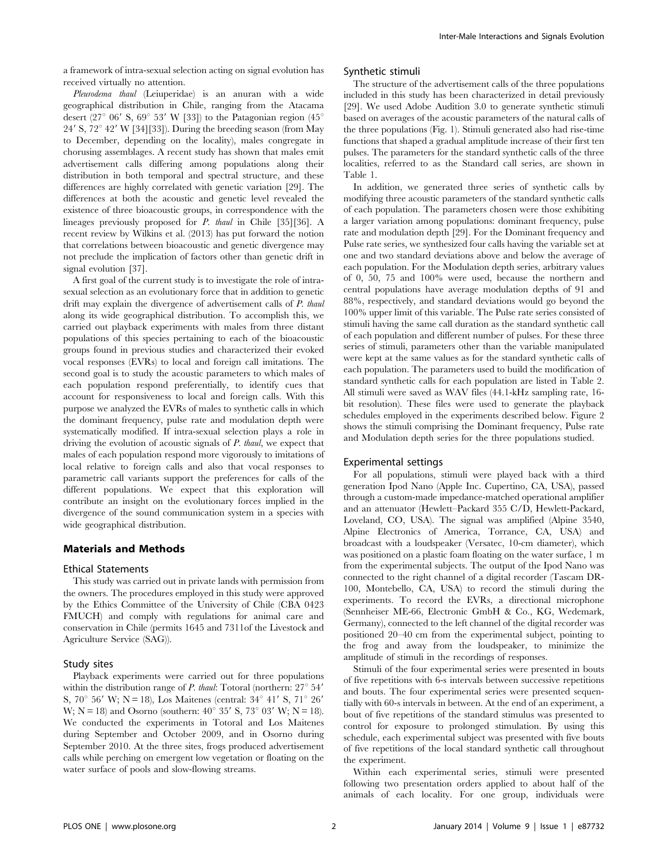a framework of intra-sexual selection acting on signal evolution has received virtually no attention.

Pleurodema thaul (Leiuperidae) is an anuran with a wide geographical distribution in Chile, ranging from the Atacama desert (27 $\degree$  06' S, 69 $\degree$  53' W [33]) to the Patagonian region (45 $\degree$  $24'$  S,  $72^{\circ}$  42' W [34][33]). During the breeding season (from May to December, depending on the locality), males congregate in chorusing assemblages. A recent study has shown that males emit advertisement calls differing among populations along their distribution in both temporal and spectral structure, and these differences are highly correlated with genetic variation [29]. The differences at both the acoustic and genetic level revealed the existence of three bioacoustic groups, in correspondence with the lineages previously proposed for P. thaul in Chile [35][36]. A recent review by Wilkins et al. (2013) has put forward the notion that correlations between bioacoustic and genetic divergence may not preclude the implication of factors other than genetic drift in signal evolution [37].

A first goal of the current study is to investigate the role of intrasexual selection as an evolutionary force that in addition to genetic drift may explain the divergence of advertisement calls of P. thaul along its wide geographical distribution. To accomplish this, we carried out playback experiments with males from three distant populations of this species pertaining to each of the bioacoustic groups found in previous studies and characterized their evoked vocal responses (EVRs) to local and foreign call imitations. The second goal is to study the acoustic parameters to which males of each population respond preferentially, to identify cues that account for responsiveness to local and foreign calls. With this purpose we analyzed the EVRs of males to synthetic calls in which the dominant frequency, pulse rate and modulation depth were systematically modified. If intra-sexual selection plays a role in driving the evolution of acoustic signals of P. thaul, we expect that males of each population respond more vigorously to imitations of local relative to foreign calls and also that vocal responses to parametric call variants support the preferences for calls of the different populations. We expect that this exploration will contribute an insight on the evolutionary forces implied in the divergence of the sound communication system in a species with wide geographical distribution.

## Materials and Methods

#### Ethical Statements

This study was carried out in private lands with permission from the owners. The procedures employed in this study were approved by the Ethics Committee of the University of Chile (CBA 0423 FMUCH) and comply with regulations for animal care and conservation in Chile (permits 1645 and 7311of the Livestock and Agriculture Service (SAG)).

#### Study sites

Playback experiments were carried out for three populations within the distribution range of P. thaul: Totoral (northern:  $27^{\circ}$  54') S, 70 $\degree$  56' W; N = 18), Los Maitenes (central: 34 $\degree$  41' S, 71 $\degree$  26' W;  $N = 18$ ) and Osorno (southern:  $40^{\circ}$  35' S, 73° 03' W;  $N = 18$ ). We conducted the experiments in Totoral and Los Maitenes during September and October 2009, and in Osorno during September 2010. At the three sites, frogs produced advertisement calls while perching on emergent low vegetation or floating on the water surface of pools and slow-flowing streams.

## Synthetic stimuli

The structure of the advertisement calls of the three populations included in this study has been characterized in detail previously [29]. We used Adobe Audition 3.0 to generate synthetic stimuli based on averages of the acoustic parameters of the natural calls of the three populations (Fig. 1). Stimuli generated also had rise-time functions that shaped a gradual amplitude increase of their first ten pulses. The parameters for the standard synthetic calls of the three localities, referred to as the Standard call series, are shown in Table 1.

In addition, we generated three series of synthetic calls by modifying three acoustic parameters of the standard synthetic calls of each population. The parameters chosen were those exhibiting a larger variation among populations: dominant frequency, pulse rate and modulation depth [29]. For the Dominant frequency and Pulse rate series, we synthesized four calls having the variable set at one and two standard deviations above and below the average of each population. For the Modulation depth series, arbitrary values of 0, 50, 75 and 100% were used, because the northern and central populations have average modulation depths of 91 and 88%, respectively, and standard deviations would go beyond the 100% upper limit of this variable. The Pulse rate series consisted of stimuli having the same call duration as the standard synthetic call of each population and different number of pulses. For these three series of stimuli, parameters other than the variable manipulated were kept at the same values as for the standard synthetic calls of each population. The parameters used to build the modification of standard synthetic calls for each population are listed in Table 2. All stimuli were saved as WAV files (44.1-kHz sampling rate, 16 bit resolution). These files were used to generate the playback schedules employed in the experiments described below. Figure 2 shows the stimuli comprising the Dominant frequency, Pulse rate and Modulation depth series for the three populations studied.

## Experimental settings

For all populations, stimuli were played back with a third generation Ipod Nano (Apple Inc. Cupertino, CA, USA), passed through a custom-made impedance-matched operational amplifier and an attenuator (Hewlett–Packard 355 C/D, Hewlett-Packard, Loveland, CO, USA). The signal was amplified (Alpine 3540, Alpine Electronics of America, Torrance, CA, USA) and broadcast with a loudspeaker (Versatec, 10-cm diameter), which was positioned on a plastic foam floating on the water surface, 1 m from the experimental subjects. The output of the Ipod Nano was connected to the right channel of a digital recorder (Tascam DR-100, Montebello, CA, USA) to record the stimuli during the experiments. To record the EVRs, a directional microphone (Sennheiser ME-66, Electronic GmbH & Co., KG, Wedemark, Germany), connected to the left channel of the digital recorder was positioned 20–40 cm from the experimental subject, pointing to the frog and away from the loudspeaker, to minimize the amplitude of stimuli in the recordings of responses.

Stimuli of the four experimental series were presented in bouts of five repetitions with 6-s intervals between successive repetitions and bouts. The four experimental series were presented sequentially with 60-s intervals in between. At the end of an experiment, a bout of five repetitions of the standard stimulus was presented to control for exposure to prolonged stimulation. By using this schedule, each experimental subject was presented with five bouts of five repetitions of the local standard synthetic call throughout the experiment.

Within each experimental series, stimuli were presented following two presentation orders applied to about half of the animals of each locality. For one group, individuals were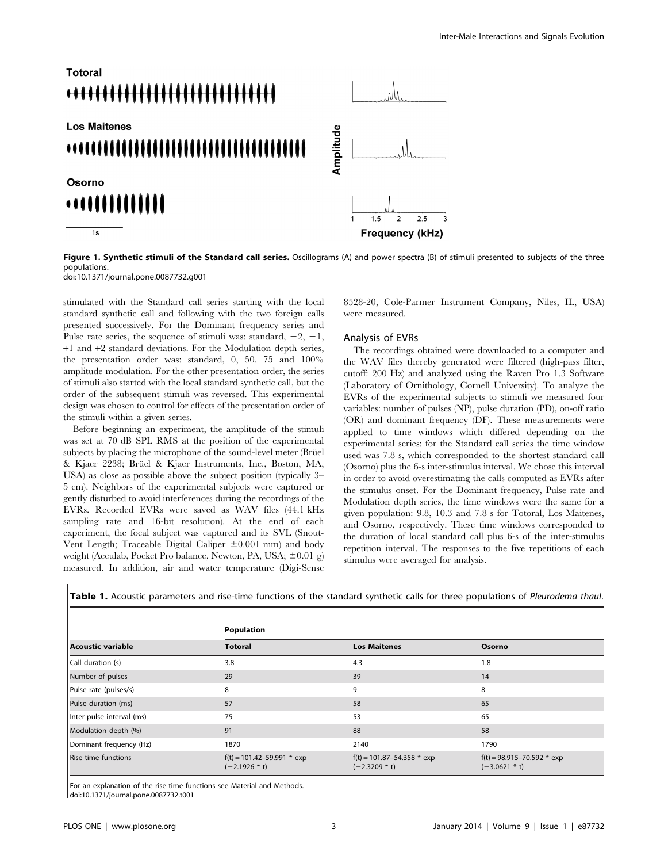

Figure 1. Synthetic stimuli of the Standard call series. Oscillograms (A) and power spectra (B) of stimuli presented to subjects of the three populations.

doi:10.1371/journal.pone.0087732.g001

stimulated with the Standard call series starting with the local standard synthetic call and following with the two foreign calls presented successively. For the Dominant frequency series and Pulse rate series, the sequence of stimuli was: standard,  $-2$ ,  $-1$ , +1 and +2 standard deviations. For the Modulation depth series, the presentation order was: standard, 0, 50, 75 and 100% amplitude modulation. For the other presentation order, the series of stimuli also started with the local standard synthetic call, but the order of the subsequent stimuli was reversed. This experimental design was chosen to control for effects of the presentation order of the stimuli within a given series.

Before beginning an experiment, the amplitude of the stimuli was set at 70 dB SPL RMS at the position of the experimental subjects by placing the microphone of the sound-level meter (Brüel & Kjaer 2238; Brüel & Kjaer Instruments, Inc., Boston, MA, USA) as close as possible above the subject position (typically 3– 5 cm). Neighbors of the experimental subjects were captured or gently disturbed to avoid interferences during the recordings of the EVRs. Recorded EVRs were saved as WAV files (44.1 kHz sampling rate and 16-bit resolution). At the end of each experiment, the focal subject was captured and its SVL (Snout-Vent Length; Traceable Digital Caliper  $\pm 0.001$  mm) and body weight (Acculab, Pocket Pro balance, Newton, PA, USA;  $\pm 0.01$  g) measured. In addition, air and water temperature (Digi-Sense 8528-20, Cole-Parmer Instrument Company, Niles, IL, USA) were measured.

#### Analysis of EVRs

The recordings obtained were downloaded to a computer and the WAV files thereby generated were filtered (high-pass filter, cutoff: 200 Hz) and analyzed using the Raven Pro 1.3 Software (Laboratory of Ornithology, Cornell University). To analyze the EVRs of the experimental subjects to stimuli we measured four variables: number of pulses (NP), pulse duration (PD), on-off ratio (OR) and dominant frequency (DF). These measurements were applied to time windows which differed depending on the experimental series: for the Standard call series the time window used was 7.8 s, which corresponded to the shortest standard call (Osorno) plus the 6-s inter-stimulus interval. We chose this interval in order to avoid overestimating the calls computed as EVRs after the stimulus onset. For the Dominant frequency, Pulse rate and Modulation depth series, the time windows were the same for a given population: 9.8, 10.3 and 7.8 s for Totoral, Los Maitenes, and Osorno, respectively. These time windows corresponded to the duration of local standard call plus 6-s of the inter-stimulus repetition interval. The responses to the five repetitions of each stimulus were averaged for analysis.

Table 1. Acoustic parameters and rise-time functions of the standard synthetic calls for three populations of Pleurodema thaul.

|                           | <b>Population</b>                                 |                                                   |                                                   |  |  |
|---------------------------|---------------------------------------------------|---------------------------------------------------|---------------------------------------------------|--|--|
| <b>Acoustic variable</b>  | <b>Totoral</b>                                    | <b>Los Maitenes</b>                               | Osorno                                            |  |  |
| Call duration (s)         | 3.8                                               | 4.3                                               | 1.8                                               |  |  |
| Number of pulses          | 29                                                | 39                                                | 14                                                |  |  |
| Pulse rate (pulses/s)     | 8                                                 | 9                                                 | 8                                                 |  |  |
| Pulse duration (ms)       | 57                                                | 58                                                | 65                                                |  |  |
| Inter-pulse interval (ms) | 75                                                | 53                                                | 65                                                |  |  |
| Modulation depth (%)      | 91                                                | 88                                                | 58                                                |  |  |
| Dominant frequency (Hz)   | 1870                                              | 2140                                              | 1790                                              |  |  |
| Rise-time functions       | $f(t) = 101.42 - 59.991$ * exp<br>$(-2.1926 * t)$ | $f(t) = 101.87 - 54.358$ * exp<br>$(-2.3209 * t)$ | $f(t) = 98.915 - 70.592$ * exp<br>$(-3.0621 * t)$ |  |  |

For an explanation of the rise-time functions see Material and Methods.

doi:10.1371/journal.pone.0087732.t001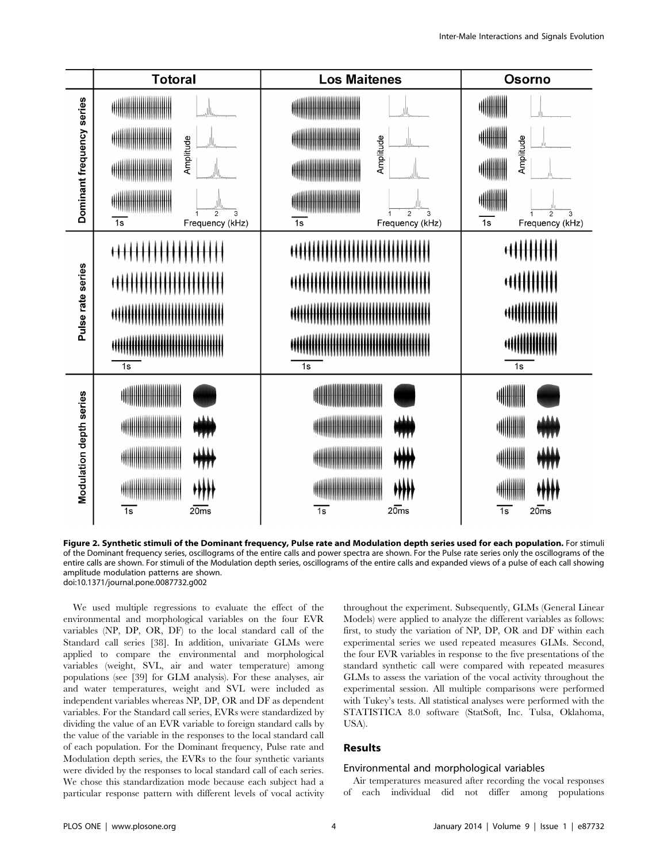

Figure 2. Synthetic stimuli of the Dominant frequency, Pulse rate and Modulation depth series used for each population. For stimuli of the Dominant frequency series, oscillograms of the entire calls and power spectra are shown. For the Pulse rate series only the oscillograms of the entire calls are shown. For stimuli of the Modulation depth series, oscillograms of the entire calls and expanded views of a pulse of each call showing amplitude modulation patterns are shown. doi:10.1371/journal.pone.0087732.g002

We used multiple regressions to evaluate the effect of the environmental and morphological variables on the four EVR variables (NP, DP, OR, DF) to the local standard call of the Standard call series [38]. In addition, univariate GLMs were applied to compare the environmental and morphological variables (weight, SVL, air and water temperature) among populations (see [39] for GLM analysis). For these analyses, air and water temperatures, weight and SVL were included as independent variables whereas NP, DP, OR and DF as dependent variables. For the Standard call series, EVRs were standardized by dividing the value of an EVR variable to foreign standard calls by the value of the variable in the responses to the local standard call of each population. For the Dominant frequency, Pulse rate and Modulation depth series, the EVRs to the four synthetic variants were divided by the responses to local standard call of each series. We chose this standardization mode because each subject had a particular response pattern with different levels of vocal activity

throughout the experiment. Subsequently, GLMs (General Linear Models) were applied to analyze the different variables as follows: first, to study the variation of NP, DP, OR and DF within each experimental series we used repeated measures GLMs. Second, the four EVR variables in response to the five presentations of the standard synthetic call were compared with repeated measures GLMs to assess the variation of the vocal activity throughout the experimental session. All multiple comparisons were performed with Tukey's tests. All statistical analyses were performed with the STATISTICA 8.0 software (StatSoft, Inc. Tulsa, Oklahoma, USA).

## Results

## Environmental and morphological variables

Air temperatures measured after recording the vocal responses of each individual did not differ among populations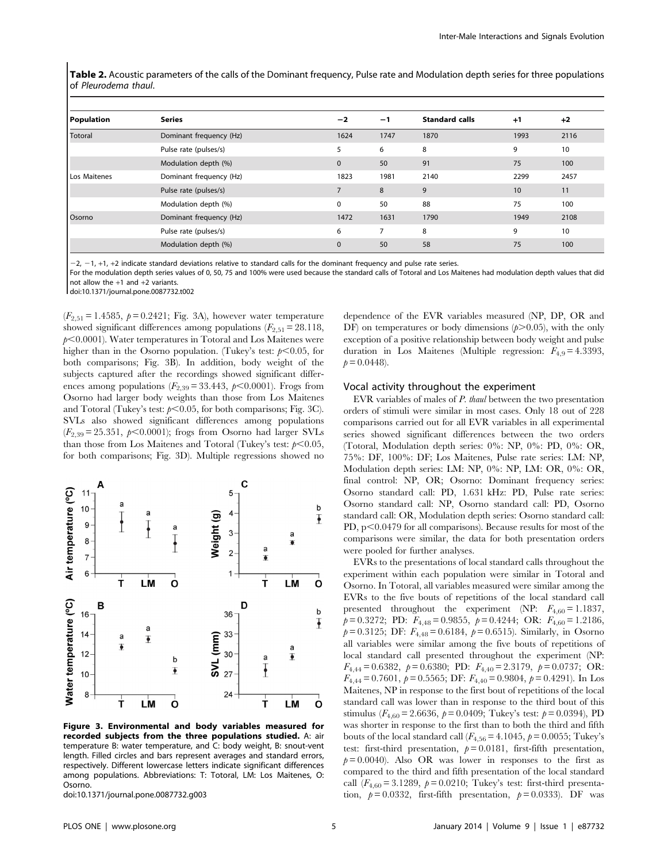Table 2. Acoustic parameters of the calls of the Dominant frequency, Pulse rate and Modulation depth series for three populations of Pleurodema thaul.

| <b>Population</b> | Series                  | $-2$           | $-1$           | <b>Standard calls</b> | $+1$ | $+2$ |
|-------------------|-------------------------|----------------|----------------|-----------------------|------|------|
| <b>Totoral</b>    | Dominant frequency (Hz) | 1624           | 1747           | 1870                  | 1993 | 2116 |
|                   | Pulse rate (pulses/s)   | 5              | 6              | 8                     | 9    | 10   |
|                   | Modulation depth (%)    | $\mathbf{0}$   | 50             | 91                    | 75   | 100  |
| Los Maitenes      | Dominant frequency (Hz) | 1823           | 1981           | 2140                  | 2299 | 2457 |
|                   | Pulse rate (pulses/s)   | $\overline{7}$ | 8              | 9                     | 10   | 11   |
|                   | Modulation depth (%)    | $\Omega$       | 50             | 88                    | 75   | 100  |
| Osorno            | Dominant frequency (Hz) | 1472           | 1631           | 1790                  | 1949 | 2108 |
|                   | Pulse rate (pulses/s)   | 6              | $\overline{7}$ | 8                     | 9    | 10   |
|                   | Modulation depth (%)    | $\Omega$       | 50             | 58                    | 75   | 100  |

 $-2$ ,  $-1$ ,  $+1$ ,  $+2$  indicate standard deviations relative to standard calls for the dominant frequency and pulse rate series.

For the modulation depth series values of 0, 50, 75 and 100% were used because the standard calls of Totoral and Los Maitenes had modulation depth values that did not allow the  $+1$  and  $+2$  variants.

doi:10.1371/journal.pone.0087732.t002

 $(F_{2,51} = 1.4585, p = 0.2421; Fig. 3A)$ , however water temperature showed significant differences among populations  $(F_{2,51} = 28.118,$  $p$ <0.0001). Water temperatures in Totoral and Los Maitenes were higher than in the Osorno population. (Tukey's test:  $p<0.05$ , for both comparisons; Fig. 3B). In addition, body weight of the subjects captured after the recordings showed significant differences among populations ( $F_{2,39}$  = 33.443,  $p$ <0.0001). Frogs from Osorno had larger body weights than those from Los Maitenes and Totoral (Tukey's test:  $p<0.05$ , for both comparisons; Fig. 3C). SVLs also showed significant differences among populations  $(F_{2,39}= 25.351, p<0.0001)$ ; frogs from Osorno had larger SVLs than those from Los Maitenes and Totoral (Tukey's test:  $p<0.05$ , for both comparisons; Fig. 3D). Multiple regressions showed no



Figure 3. Environmental and body variables measured for recorded subjects from the three populations studied. A: air temperature B: water temperature, and C: body weight, B: snout-vent length. Filled circles and bars represent averages and standard errors, respectively. Different lowercase letters indicate significant differences among populations. Abbreviations: T: Totoral, LM: Los Maitenes, O: Osorno.

doi:10.1371/journal.pone.0087732.g003

dependence of the EVR variables measured (NP, DP, OR and DF) on temperatures or body dimensions  $(p>0.05)$ , with the only exception of a positive relationship between body weight and pulse duration in Los Maitenes (Multiple regression:  $F_{4,9} = 4.3393$ ,  $p = 0.0448$ .

#### Vocal activity throughout the experiment

EVR variables of males of P. thaul between the two presentation orders of stimuli were similar in most cases. Only 18 out of 228 comparisons carried out for all EVR variables in all experimental series showed significant differences between the two orders (Totoral, Modulation depth series: 0%: NP, 0%: PD, 0%: OR, 75%: DF, 100%: DF; Los Maitenes, Pulse rate series: LM: NP, Modulation depth series: LM: NP, 0%: NP, LM: OR, 0%: OR, final control: NP, OR; Osorno: Dominant frequency series: Osorno standard call: PD, 1.631 kHz: PD, Pulse rate series: Osorno standard call: NP, Osorno standard call: PD, Osorno standard call: OR, Modulation depth series: Osorno standard call: PD,  $p<0.0479$  for all comparisons). Because results for most of the comparisons were similar, the data for both presentation orders were pooled for further analyses.

EVRs to the presentations of local standard calls throughout the experiment within each population were similar in Totoral and Osorno. In Totoral, all variables measured were similar among the EVRs to the five bouts of repetitions of the local standard call presented throughout the experiment (NP:  $F_{4,60} = 1.1837$ ,  $p= 0.3272$ ; PD:  $F_{4,48}= 0.9855$ ,  $p= 0.4244$ ; OR:  $F_{4,60}= 1.2186$ ,  $p= 0.3125$ ; DF:  $F_{4,48} = 0.6184$ ,  $p= 0.6515$ ). Similarly, in Osorno all variables were similar among the five bouts of repetitions of local standard call presented throughout the experiment (NP:  $F_{4,44} = 0.6382, p = 0.6380; \text{ PD: } F_{4,40} = 2.3179, p = 0.0737; \text{ OR:}$  $F_{4,44} = 0.7601, p = 0.5565; \text{DF: } F_{4,40} = 0.9804, p = 0.4291$ . In Los Maitenes, NP in response to the first bout of repetitions of the local standard call was lower than in response to the third bout of this stimulus ( $F_{4,60} = 2.6636$ ,  $p = 0.0409$ ; Tukey's test:  $p = 0.0394$ ), PD was shorter in response to the first than to both the third and fifth bouts of the local standard call  $(F_{4,56} = 4.1045, p = 0.0055;$  Tukey's test: first-third presentation,  $p = 0.0181$ , first-fifth presentation,  $p= 0.0040$ . Also OR was lower in responses to the first as compared to the third and fifth presentation of the local standard call  $(F_{4,60} = 3.1289, p = 0.0210;$  Tukey's test: first-third presentation,  $p = 0.0332$ , first-fifth presentation,  $p = 0.0333$ ). DF was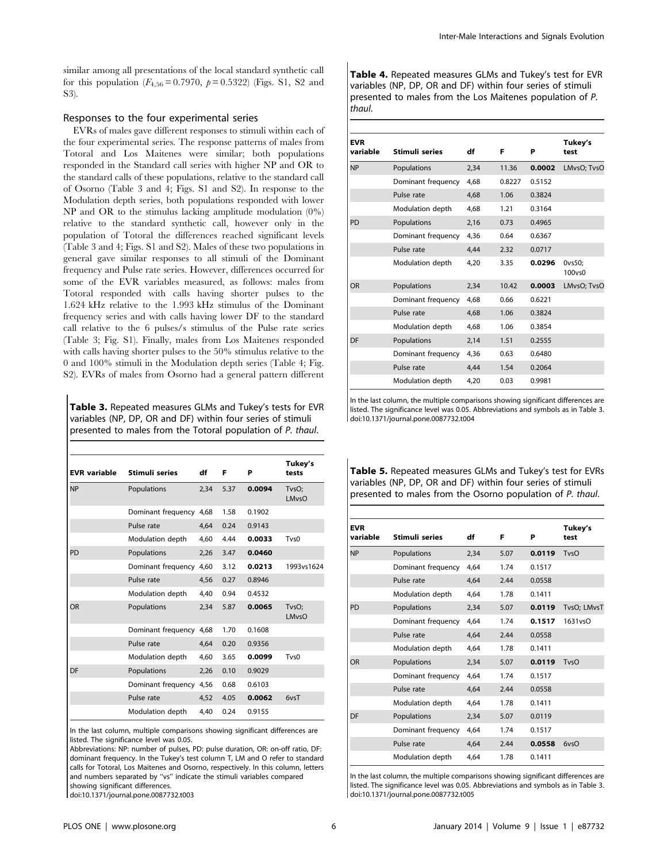similar among all presentations of the local standard synthetic call for this population  $(F_{4,56} = 0.7970, p = 0.5322)$  (Figs. S1, S2 and S3).

## Responses to the four experimental series

EVRs of males gave different responses to stimuli within each of the four experimental series. The response patterns of males from Totoral and Los Maitenes were similar; both populations responded in the Standard call series with higher NP and OR to the standard calls of these populations, relative to the standard call of Osorno (Table 3 and 4; Figs. S1 and S2). In response to the Modulation depth series, both populations responded with lower NP and OR to the stimulus lacking amplitude modulation (0%) relative to the standard synthetic call, however only in the population of Totoral the differences reached significant levels (Table 3 and 4; Figs. S1 and S2). Males of these two populations in general gave similar responses to all stimuli of the Dominant frequency and Pulse rate series. However, differences occurred for some of the EVR variables measured, as follows: males from Totoral responded with calls having shorter pulses to the 1.624 kHz relative to the 1.993 kHz stimulus of the Dominant frequency series and with calls having lower DF to the standard call relative to the 6 pulses/s stimulus of the Pulse rate series (Table 3; Fig. S1). Finally, males from Los Maitenes responded with calls having shorter pulses to the 50% stimulus relative to the 0 and 100% stimuli in the Modulation depth series (Table 4; Fig. S2). EVRs of males from Osorno had a general pattern different

Table 3. Repeated measures GLMs and Tukey's tests for EVR variables (NP, DP, OR and DF) within four series of stimuli presented to males from the Totoral population of P. thaul.

|                     |                         |      |      |        | Tukey's                     |
|---------------------|-------------------------|------|------|--------|-----------------------------|
| <b>EVR</b> variable | <b>Stimuli series</b>   | df   | F    | Р      | tests                       |
| <b>NP</b>           | Populations             | 2,34 | 5.37 | 0.0094 | TysO:<br>LMvsO              |
|                     | Dominant frequency 4,68 |      | 1.58 | 0.1902 |                             |
|                     | Pulse rate              | 4.64 | 0.24 | 0.9143 |                             |
|                     | Modulation depth        | 4,60 | 4.44 | 0.0033 | Tvs0                        |
| <b>PD</b>           | Populations             | 2,26 | 3.47 | 0.0460 |                             |
|                     | Dominant frequency      | 4.60 | 3.12 | 0.0213 | 1993ys1624                  |
|                     | Pulse rate              | 4,56 | 0.27 | 0.8946 |                             |
|                     | Modulation depth        | 4,40 | 0.94 | 0.4532 |                             |
| <b>OR</b>           | Populations             | 2,34 | 5.87 | 0.0065 | TvsO:<br>LM <sub>vs</sub> O |
|                     | Dominant frequency 4,68 |      | 1.70 | 0.1608 |                             |
|                     | Pulse rate              | 4,64 | 0.20 | 0.9356 |                             |
|                     | Modulation depth        | 4,60 | 3.65 | 0.0099 | Tvs0                        |
| DF                  | Populations             | 2,26 | 0.10 | 0.9029 |                             |
|                     | Dominant frequency 4,56 |      | 0.68 | 0.6103 |                             |
|                     | Pulse rate              | 4,52 | 4.05 | 0.0062 | <b>6ysT</b>                 |
|                     | Modulation depth        | 4.40 | 0.24 | 0.9155 |                             |

In the last column, multiple comparisons showing significant differences are listed. The significance level was 0.05.

Abbreviations: NP: number of pulses, PD: pulse duration, OR: on-off ratio, DF: dominant frequency. In the Tukey's test column T, LM and O refer to standard calls for Totoral, Los Maitenes and Osorno, respectively. In this column, letters and numbers separated by ''vs'' indicate the stimuli variables compared showing significant differences.

doi:10.1371/journal.pone.0087732.t003

Table 4. Repeated measures GLMs and Tukey's test for EVR variables (NP, DP, OR and DF) within four series of stimuli presented to males from the Los Maitenes population of P. thaul.

| <b>EVR</b><br>variable | <b>Stimuli series</b> | df   | F      | Р      | Tukey's<br>test  |
|------------------------|-----------------------|------|--------|--------|------------------|
| <b>NP</b>              | Populations           | 2,34 | 11.36  | 0.0002 | LMvsO; TvsO      |
|                        | Dominant frequency    | 4.68 | 0.8227 | 0.5152 |                  |
|                        | Pulse rate            | 4.68 | 1.06   | 0.3824 |                  |
|                        | Modulation depth      | 4,68 | 1.21   | 0.3164 |                  |
| PD                     | Populations           | 2,16 | 0.73   | 0.4965 |                  |
|                        | Dominant frequency    | 4,36 | 0.64   | 0.6367 |                  |
|                        | Pulse rate            | 4.44 | 2.32   | 0.0717 |                  |
|                        | Modulation depth      | 4,20 | 3.35   | 0.0296 | Ovs50:<br>100vs0 |
| <b>OR</b>              | Populations           | 2,34 | 10.42  | 0.0003 | LMvsO; TvsO      |
|                        | Dominant frequency    | 4.68 | 0.66   | 0.6221 |                  |
|                        | Pulse rate            | 4.68 | 1.06   | 0.3824 |                  |
|                        | Modulation depth      | 4,68 | 1.06   | 0.3854 |                  |
| DF                     | Populations           | 2,14 | 1.51   | 0.2555 |                  |
|                        | Dominant frequency    | 4,36 | 0.63   | 0.6480 |                  |
|                        | Pulse rate            | 4,44 | 1.54   | 0.2064 |                  |
|                        | Modulation depth      | 4,20 | 0.03   | 0.9981 |                  |

In the last column, the multiple comparisons showing significant differences are listed. The significance level was 0.05. Abbreviations and symbols as in Table 3. doi:10.1371/journal.pone.0087732.t004

Table 5. Repeated measures GLMs and Tukey's test for EVRs variables (NP, DP, OR and DF) within four series of stimuli presented to males from the Osorno population of P. thaul.

| <b>EVR</b><br>variable | <b>Stimuli series</b> | df   | F    | Р      | Tukey's<br>test   |
|------------------------|-----------------------|------|------|--------|-------------------|
| <b>NP</b>              | Populations           | 2,34 | 5.07 | 0.0119 | <b>TysO</b>       |
|                        | Dominant frequency    | 4,64 | 1.74 | 0.1517 |                   |
|                        | Pulse rate            | 4,64 | 2.44 | 0.0558 |                   |
|                        | Modulation depth      | 4,64 | 1.78 | 0.1411 |                   |
| <b>PD</b>              | Populations           | 2,34 | 5.07 | 0.0119 | TvsO; LMvsT       |
|                        | Dominant frequency    | 4,64 | 1.74 | 0.1517 | 1631vsO           |
|                        | Pulse rate            | 4,64 | 2.44 | 0.0558 |                   |
|                        | Modulation depth      | 4,64 | 1.78 | 0.1411 |                   |
| <b>OR</b>              | Populations           | 2,34 | 5.07 | 0.0119 | <b>TysO</b>       |
|                        | Dominant frequency    | 4.64 | 1.74 | 0.1517 |                   |
|                        | Pulse rate            | 4.64 | 2.44 | 0.0558 |                   |
|                        | Modulation depth      | 4,64 | 1.78 | 0.1411 |                   |
| DF                     | Populations           | 2,34 | 5.07 | 0.0119 |                   |
|                        | Dominant frequency    | 4.64 | 1.74 | 0.1517 |                   |
|                        | Pulse rate            | 4.64 | 2.44 | 0.0558 | 6v <sub>s</sub> O |
|                        | Modulation depth      | 4.64 | 1.78 | 0.1411 |                   |

In the last column, the multiple comparisons showing significant differences are listed. The significance level was 0.05. Abbreviations and symbols as in Table 3. doi:10.1371/journal.pone.0087732.t005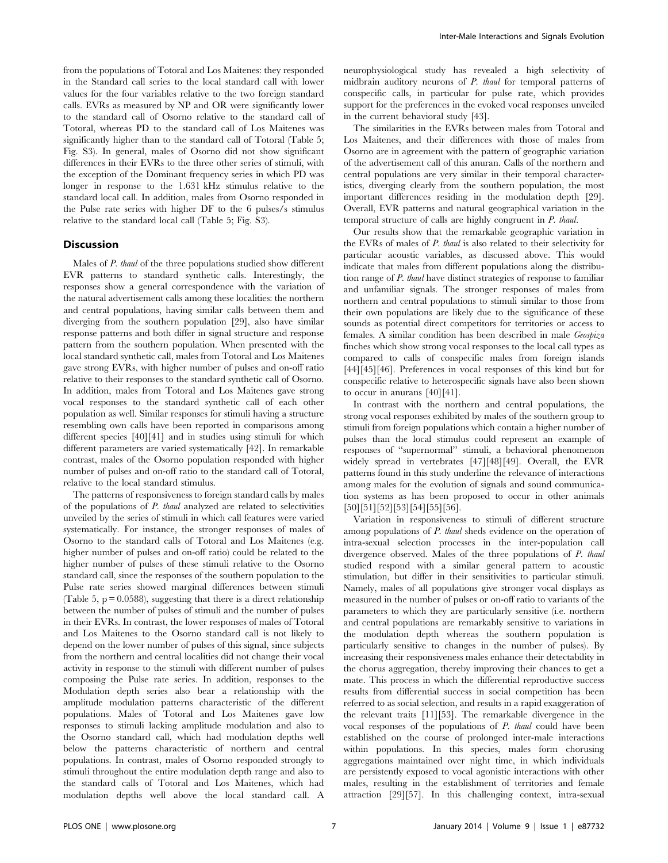from the populations of Totoral and Los Maitenes: they responded in the Standard call series to the local standard call with lower values for the four variables relative to the two foreign standard calls. EVRs as measured by NP and OR were significantly lower to the standard call of Osorno relative to the standard call of Totoral, whereas PD to the standard call of Los Maitenes was significantly higher than to the standard call of Totoral (Table 5; Fig. S3). In general, males of Osorno did not show significant differences in their EVRs to the three other series of stimuli, with the exception of the Dominant frequency series in which PD was longer in response to the 1.631 kHz stimulus relative to the standard local call. In addition, males from Osorno responded in the Pulse rate series with higher DF to the 6 pulses/s stimulus relative to the standard local call (Table 5; Fig. S3).

## **Discussion**

Males of P. thaul of the three populations studied show different EVR patterns to standard synthetic calls. Interestingly, the responses show a general correspondence with the variation of the natural advertisement calls among these localities: the northern and central populations, having similar calls between them and diverging from the southern population [29], also have similar response patterns and both differ in signal structure and response pattern from the southern population. When presented with the local standard synthetic call, males from Totoral and Los Maitenes gave strong EVRs, with higher number of pulses and on-off ratio relative to their responses to the standard synthetic call of Osorno. In addition, males from Totoral and Los Maitenes gave strong vocal responses to the standard synthetic call of each other population as well. Similar responses for stimuli having a structure resembling own calls have been reported in comparisons among different species [40][41] and in studies using stimuli for which different parameters are varied systematically [42]. In remarkable contrast, males of the Osorno population responded with higher number of pulses and on-off ratio to the standard call of Totoral, relative to the local standard stimulus.

The patterns of responsiveness to foreign standard calls by males of the populations of P. thaul analyzed are related to selectivities unveiled by the series of stimuli in which call features were varied systematically. For instance, the stronger responses of males of Osorno to the standard calls of Totoral and Los Maitenes (e.g. higher number of pulses and on-off ratio) could be related to the higher number of pulses of these stimuli relative to the Osorno standard call, since the responses of the southern population to the Pulse rate series showed marginal differences between stimuli (Table 5,  $p = 0.0588$ ), suggesting that there is a direct relationship between the number of pulses of stimuli and the number of pulses in their EVRs. In contrast, the lower responses of males of Totoral and Los Maitenes to the Osorno standard call is not likely to depend on the lower number of pulses of this signal, since subjects from the northern and central localities did not change their vocal activity in response to the stimuli with different number of pulses composing the Pulse rate series. In addition, responses to the Modulation depth series also bear a relationship with the amplitude modulation patterns characteristic of the different populations. Males of Totoral and Los Maitenes gave low responses to stimuli lacking amplitude modulation and also to the Osorno standard call, which had modulation depths well below the patterns characteristic of northern and central populations. In contrast, males of Osorno responded strongly to stimuli throughout the entire modulation depth range and also to the standard calls of Totoral and Los Maitenes, which had modulation depths well above the local standard call. A

neurophysiological study has revealed a high selectivity of midbrain auditory neurons of P. thaul for temporal patterns of conspecific calls, in particular for pulse rate, which provides support for the preferences in the evoked vocal responses unveiled in the current behavioral study [43].

The similarities in the EVRs between males from Totoral and Los Maitenes, and their differences with those of males from Osorno are in agreement with the pattern of geographic variation of the advertisement call of this anuran. Calls of the northern and central populations are very similar in their temporal characteristics, diverging clearly from the southern population, the most important differences residing in the modulation depth [29]. Overall, EVR patterns and natural geographical variation in the temporal structure of calls are highly congruent in P. thaul.

Our results show that the remarkable geographic variation in the EVRs of males of P. thaul is also related to their selectivity for particular acoustic variables, as discussed above. This would indicate that males from different populations along the distribution range of P. thaul have distinct strategies of response to familiar and unfamiliar signals. The stronger responses of males from northern and central populations to stimuli similar to those from their own populations are likely due to the significance of these sounds as potential direct competitors for territories or access to females. A similar condition has been described in male Geospiza finches which show strong vocal responses to the local call types as compared to calls of conspecific males from foreign islands [44][45][46]. Preferences in vocal responses of this kind but for conspecific relative to heterospecific signals have also been shown to occur in anurans [40][41].

In contrast with the northern and central populations, the strong vocal responses exhibited by males of the southern group to stimuli from foreign populations which contain a higher number of pulses than the local stimulus could represent an example of responses of ''supernormal'' stimuli, a behavioral phenomenon widely spread in vertebrates [47][48][49]. Overall, the EVR patterns found in this study underline the relevance of interactions among males for the evolution of signals and sound communication systems as has been proposed to occur in other animals [50][51][52][53][54][55][56].

Variation in responsiveness to stimuli of different structure among populations of P. thaul sheds evidence on the operation of intra-sexual selection processes in the inter-population call divergence observed. Males of the three populations of P. thaul studied respond with a similar general pattern to acoustic stimulation, but differ in their sensitivities to particular stimuli. Namely, males of all populations give stronger vocal displays as measured in the number of pulses or on-off ratio to variants of the parameters to which they are particularly sensitive (i.e. northern and central populations are remarkably sensitive to variations in the modulation depth whereas the southern population is particularly sensitive to changes in the number of pulses). By increasing their responsiveness males enhance their detectability in the chorus aggregation, thereby improving their chances to get a mate. This process in which the differential reproductive success results from differential success in social competition has been referred to as social selection, and results in a rapid exaggeration of the relevant traits [11][53]. The remarkable divergence in the vocal responses of the populations of P. thaul could have been established on the course of prolonged inter-male interactions within populations. In this species, males form chorusing aggregations maintained over night time, in which individuals are persistently exposed to vocal agonistic interactions with other males, resulting in the establishment of territories and female attraction [29][57]. In this challenging context, intra-sexual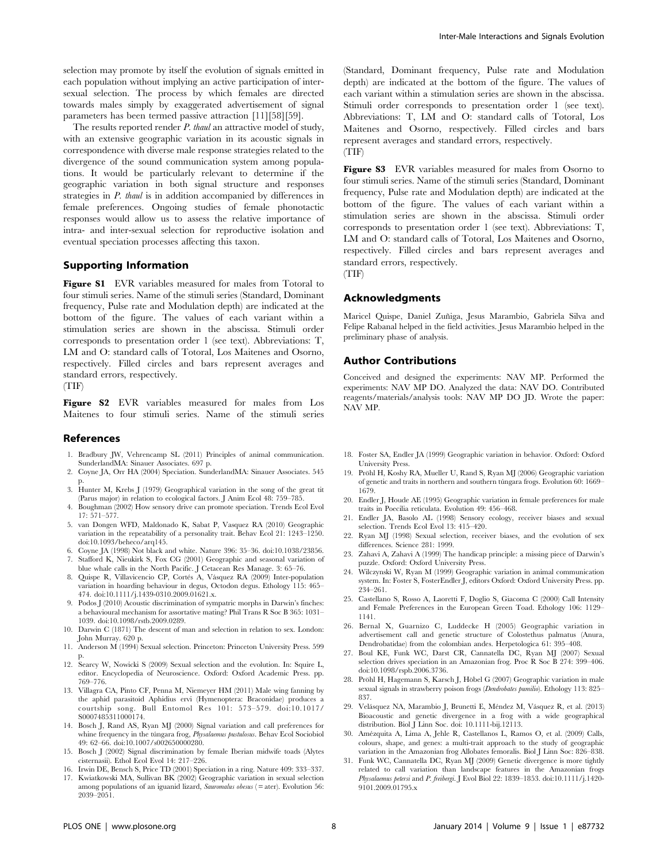selection may promote by itself the evolution of signals emitted in each population without implying an active participation of intersexual selection. The process by which females are directed towards males simply by exaggerated advertisement of signal parameters has been termed passive attraction [11][58][59].

The results reported render P. thaul an attractive model of study, with an extensive geographic variation in its acoustic signals in correspondence with diverse male response strategies related to the divergence of the sound communication system among populations. It would be particularly relevant to determine if the geographic variation in both signal structure and responses strategies in P. thaul is in addition accompanied by differences in female preferences. Ongoing studies of female phonotactic responses would allow us to assess the relative importance of intra- and inter-sexual selection for reproductive isolation and eventual speciation processes affecting this taxon.

## Supporting Information

Figure S1 EVR variables measured for males from Totoral to four stimuli series. Name of the stimuli series (Standard, Dominant frequency, Pulse rate and Modulation depth) are indicated at the bottom of the figure. The values of each variant within a stimulation series are shown in the abscissa. Stimuli order corresponds to presentation order 1 (see text). Abbreviations: T, LM and O: standard calls of Totoral, Los Maitenes and Osorno, respectively. Filled circles and bars represent averages and standard errors, respectively.

(TIF)

Figure S2 EVR variables measured for males from Los Maitenes to four stimuli series. Name of the stimuli series

## References

- 1. Bradbury JW, Vehrencamp SL (2011) Principles of animal communication. SunderlandMA: Sinauer Associates. 697 p.
- 2. Coyne JA, Orr HA (2004) Speciation. SunderlandMA: Sinauer Associates. 545 p.
- 3. Hunter M, Krebs J (1979) Geographical variation in the song of the great tit (Parus major) in relation to ecological factors. J Anim Ecol 48: 759–785.
- 4. Boughman (2002) How sensory drive can promote speciation. Trends Ecol Evol 17: 571–577.
- 5. van Dongen WFD, Maldonado K, Sabat P, Vasquez RA (2010) Geographic variation in the repeatability of a personality trait. Behav Ecol 21: 1243–1250. doi:10.1093/beheco/arq145.
- 6. Coyne JA (1998) Not black and white. Nature 396: 35–36. doi:10.1038/23856.
- 7. Stafford K, Nieukirk S, Fox CG (2001) Geographic and seasonal variation of blue whale calls in the North Pacific. J Cetacean Res Manage. 3: 65–76.
- 8. Quispe R, Villavicencio CP, Cortés A, Vásquez RA (2009) Inter-population variation in hoarding behaviour in degus, Octodon degus. Ethology 115: 465– 474. doi:10.1111/j.1439-0310.2009.01621.x.
- 9. Podos J (2010) Acoustic discrimination of sympatric morphs in Darwin's finches: a behavioural mechanism for assortative mating? Phil Trans R Soc B 365: 1031– 1039. doi:10.1098/rstb.2009.0289.
- 10. Darwin C (1871) The descent of man and selection in relation to sex. London: John Murray. 620 p.
- 11. Anderson M (1994) Sexual selection. Princeton: Princeton University Press. 599 p.
- 12. Searcy W, Nowicki S (2009) Sexual selection and the evolution. In: Squire L, editor. Encyclopedia of Neuroscience. Oxford: Oxford Academic Press. pp. 769–776.
- 13. Villagra CA, Pinto CF, Penna M, Niemeyer HM (2011) Male wing fanning by the aphid parasitoid Aphidius ervi (Hymenoptera: Braconidae) produces a courtship song. Bull Entomol Res 101: 573–579. doi:10.1017/ S0007485311000174.
- 14. Bosch J, Rand AS, Ryan MJ (2000) Signal variation and call preferences for whine frequency in the túngara frog, Physalaemus pustulosus. Behav Ecol Sociobiol 49: 62–66. doi:10.1007/s002650000280.
- 15. Bosch J (2002) Signal discrimination by female Iberian midwife toads (Alytes cisternasii). Ethol Ecol Evol 14: 217–226.
- 16. Irwin DE, Bensch S, Price TD (2001) Speciation in a ring. Nature 409: 333–337. 17. Kwiatkowski MA, Sullivan BK (2002) Geographic variation in sexual selection among populations of an iguanid lizard, Sauromalus obesus (= ater). Evolution 56:

Inter-Male Interactions and Signals Evolution

(Standard, Dominant frequency, Pulse rate and Modulation depth) are indicated at the bottom of the figure. The values of each variant within a stimulation series are shown in the abscissa. Stimuli order corresponds to presentation order 1 (see text). Abbreviations: T, LM and O: standard calls of Totoral, Los Maitenes and Osorno, respectively. Filled circles and bars represent averages and standard errors, respectively. (TIF)

Figure S3 EVR variables measured for males from Osorno to four stimuli series. Name of the stimuli series (Standard, Dominant frequency, Pulse rate and Modulation depth) are indicated at the bottom of the figure. The values of each variant within a stimulation series are shown in the abscissa. Stimuli order corresponds to presentation order 1 (see text). Abbreviations: T, LM and O: standard calls of Totoral, Los Maitenes and Osorno, respectively. Filled circles and bars represent averages and standard errors, respectively.

(TIF)

## Acknowledgments

Maricel Quispe, Daniel Zuñiga, Jesus Marambio, Gabriela Silva and Felipe Rabanal helped in the field activities. Jesus Marambio helped in the preliminary phase of analysis.

## Author Contributions

Conceived and designed the experiments: NAV MP. Performed the experiments: NAV MP DO. Analyzed the data: NAV DO. Contributed reagents/materials/analysis tools: NAV MP DO JD. Wrote the paper: NAV MP.

- 18. Foster SA, Endler JA (1999) Geographic variation in behavior. Oxford: Oxford University Press.
- 19. Pröhl H, Koshy RA, Mueller U, Rand S, Ryan MJ (2006) Geographic variation of genetic and traits in northern and southern túngara frogs. Evolution 60: 1669– 1679.
- 20. Endler J, Houde AE (1995) Geographic variation in female preferences for male traits in Poecilia reticulata. Evolution 49: 456–468.
- 21. Endler JA, Basolo AL (1998) Sensory ecology, receiver biases and sexual selection. Trends Ecol Evol 13: 415–420.
- 22. Ryan MJ (1998) Sexual selection, receiver biases, and the evolution of sex differences. Science 281: 1999.
- 23. Zahavi A, Zahavi A (1999) The handicap principle: a missing piece of Darwin's puzzle. Oxford: Oxford University Press.
- 24. Wilczynski W, Ryan M (1999) Geographic variation in animal communication system. In: Foster S, FosterEndler J, editors Oxford: Oxford University Press. pp. 234–261.
- 25. Castellano S, Rosso A, Laoretti F, Doglio S, Giacoma C (2000) Call Intensity and Female Preferences in the European Green Toad. Ethology 106: 1129– 1141.
- 26. Bernal X, Guarnizo C, Luddecke H (2005) Geographic variation in advertisement call and genetic structure of Colostethus palmatus (Anura, Dendrobatidae) from the colombian andes. Herpetologica 61: 395–408.
- 27. Boul KE, Funk WC, Darst CR, Cannatella DC, Ryan MJ (2007) Sexual selection drives speciation in an Amazonian frog. Proc R Soc B 274: 399–406. doi:10.1098/rspb.2006.3736.
- 28. Pröhl H, Hagemann S, Karsch J, Höbel G (2007) Geographic variation in male sexual signals in strawberry poison frogs (Dendrobates pumilio). Ethology 113: 825– 837.
- 29. Velásquez NA, Marambio J, Brunetti E, Méndez M, Vásquez R, et al. (2013) Bioacoustic and genetic divergence in a frog with a wide geographical distribution. Biol J Linn Soc. doi: 10.1111-bij.12113.
- 30. Ame´zquita A, Lima A, Jehle R, Castellanos L, Ramos O, et al. (2009) Calls, colours, shape, and genes: a multi-trait approach to the study of geographic variation in the Amazonian frog Allobates femoralis. Biol J Linn Soc: 826–838.
- 31. Funk WC, Cannatella DC, Ryan MJ (2009) Genetic divergence is more tightly related to call variation than landscape features in the Amazonian frogs Physalaemus petersi and P. freibergi. J Evol Biol 22: 1839–1853. doi:10.1111/j.1420- 9101.2009.01795.x

2039–2051.